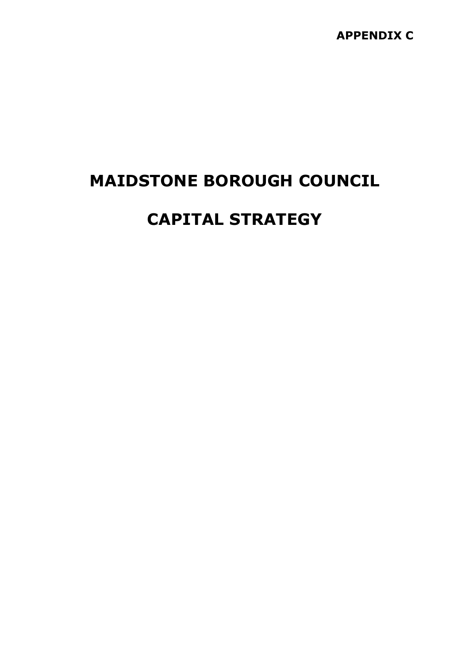# MAIDSTONE BOROUGH COUNCIL

# CAPITAL STRATEGY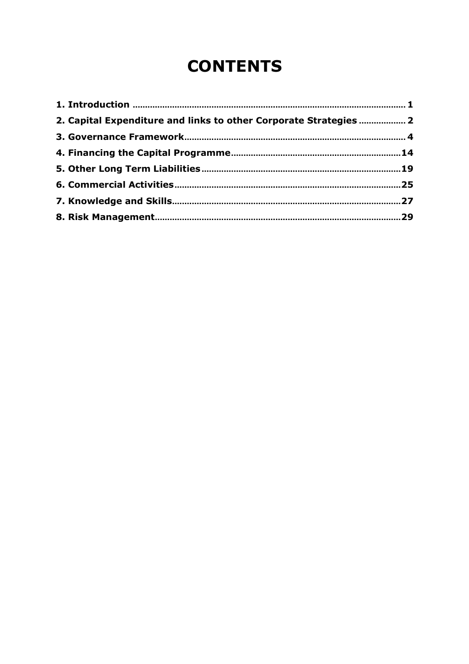# **CONTENTS**

| 2. Capital Expenditure and links to other Corporate Strategies  2 |  |
|-------------------------------------------------------------------|--|
|                                                                   |  |
|                                                                   |  |
|                                                                   |  |
|                                                                   |  |
|                                                                   |  |
|                                                                   |  |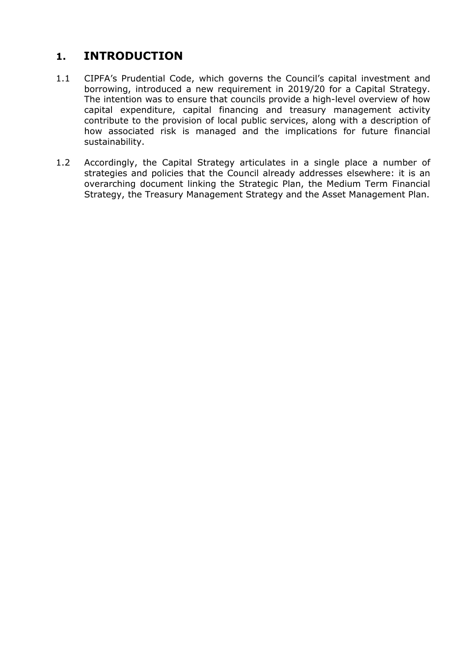# 1. INTRODUCTION

- 1.1 CIPFA's Prudential Code, which governs the Council's capital investment and borrowing, introduced a new requirement in 2019/20 for a Capital Strategy. The intention was to ensure that councils provide a high-level overview of how capital expenditure, capital financing and treasury management activity contribute to the provision of local public services, along with a description of how associated risk is managed and the implications for future financial sustainability.
- 1.2 Accordingly, the Capital Strategy articulates in a single place a number of strategies and policies that the Council already addresses elsewhere: it is an overarching document linking the Strategic Plan, the Medium Term Financial Strategy, the Treasury Management Strategy and the Asset Management Plan.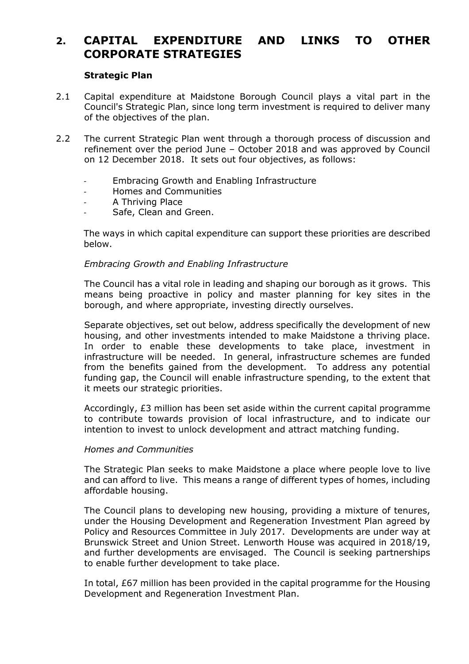# 2. CAPITAL EXPENDITURE AND LINKS TO OTHER CORPORATE STRATEGIES

#### Strategic Plan

- 2.1 Capital expenditure at Maidstone Borough Council plays a vital part in the Council's Strategic Plan, since long term investment is required to deliver many of the objectives of the plan.
- 2.2 The current Strategic Plan went through a thorough process of discussion and refinement over the period June – October 2018 and was approved by Council on 12 December 2018. It sets out four objectives, as follows:
	- Embracing Growth and Enabling Infrastructure
	- Homes and Communities
	- A Thriving Place
	- Safe, Clean and Green.

The ways in which capital expenditure can support these priorities are described below.

#### Embracing Growth and Enabling Infrastructure

The Council has a vital role in leading and shaping our borough as it grows. This means being proactive in policy and master planning for key sites in the borough, and where appropriate, investing directly ourselves.

Separate objectives, set out below, address specifically the development of new housing, and other investments intended to make Maidstone a thriving place. In order to enable these developments to take place, investment in infrastructure will be needed. In general, infrastructure schemes are funded from the benefits gained from the development. To address any potential funding gap, the Council will enable infrastructure spending, to the extent that it meets our strategic priorities.

Accordingly, £3 million has been set aside within the current capital programme to contribute towards provision of local infrastructure, and to indicate our intention to invest to unlock development and attract matching funding.

#### Homes and Communities

The Strategic Plan seeks to make Maidstone a place where people love to live and can afford to live. This means a range of different types of homes, including affordable housing.

The Council plans to developing new housing, providing a mixture of tenures, under the Housing Development and Regeneration Investment Plan agreed by Policy and Resources Committee in July 2017. Developments are under way at Brunswick Street and Union Street. Lenworth House was acquired in 2018/19, and further developments are envisaged. The Council is seeking partnerships to enable further development to take place.

In total, £67 million has been provided in the capital programme for the Housing Development and Regeneration Investment Plan.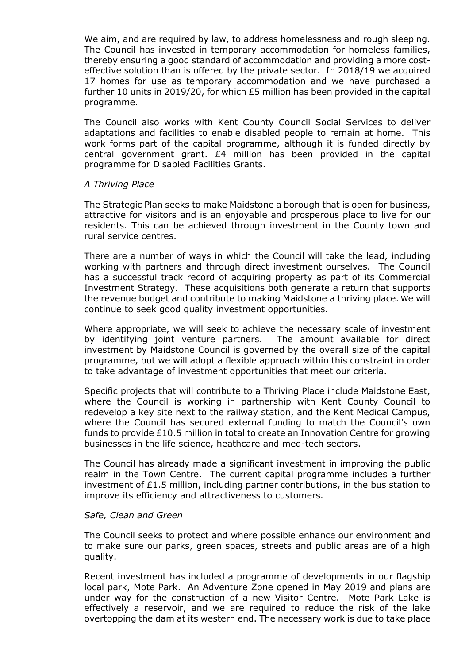We aim, and are required by law, to address homelessness and rough sleeping. The Council has invested in temporary accommodation for homeless families, thereby ensuring a good standard of accommodation and providing a more costeffective solution than is offered by the private sector. In 2018/19 we acquired 17 homes for use as temporary accommodation and we have purchased a further 10 units in 2019/20, for which £5 million has been provided in the capital programme.

The Council also works with Kent County Council Social Services to deliver adaptations and facilities to enable disabled people to remain at home. This work forms part of the capital programme, although it is funded directly by central government grant. £4 million has been provided in the capital programme for Disabled Facilities Grants.

#### A Thriving Place

The Strategic Plan seeks to make Maidstone a borough that is open for business, attractive for visitors and is an enjoyable and prosperous place to live for our residents. This can be achieved through investment in the County town and rural service centres.

There are a number of ways in which the Council will take the lead, including working with partners and through direct investment ourselves. The Council has a successful track record of acquiring property as part of its Commercial Investment Strategy. These acquisitions both generate a return that supports the revenue budget and contribute to making Maidstone a thriving place. We will continue to seek good quality investment opportunities.

Where appropriate, we will seek to achieve the necessary scale of investment by identifying joint venture partners. The amount available for direct investment by Maidstone Council is governed by the overall size of the capital programme, but we will adopt a flexible approach within this constraint in order to take advantage of investment opportunities that meet our criteria.

Specific projects that will contribute to a Thriving Place include Maidstone East, where the Council is working in partnership with Kent County Council to redevelop a key site next to the railway station, and the Kent Medical Campus, where the Council has secured external funding to match the Council's own funds to provide £10.5 million in total to create an Innovation Centre for growing businesses in the life science, heathcare and med-tech sectors.

The Council has already made a significant investment in improving the public realm in the Town Centre. The current capital programme includes a further investment of  $E1.5$  million, including partner contributions, in the bus station to improve its efficiency and attractiveness to customers.

#### Safe, Clean and Green

The Council seeks to protect and where possible enhance our environment and to make sure our parks, green spaces, streets and public areas are of a high quality.

Recent investment has included a programme of developments in our flagship local park, Mote Park. An Adventure Zone opened in May 2019 and plans are under way for the construction of a new Visitor Centre. Mote Park Lake is effectively a reservoir, and we are required to reduce the risk of the lake overtopping the dam at its western end. The necessary work is due to take place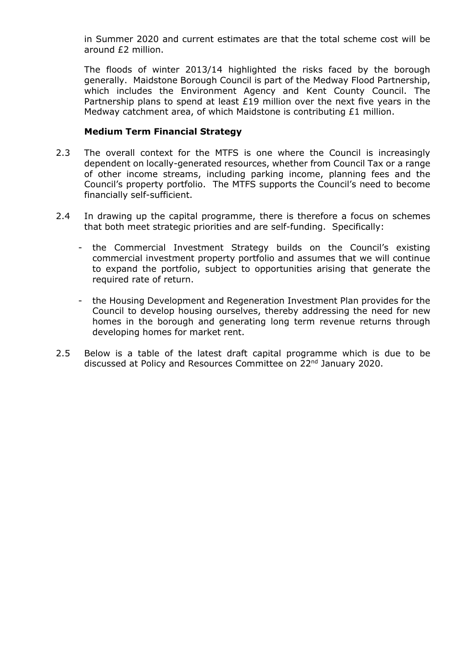in Summer 2020 and current estimates are that the total scheme cost will be around £2 million.

The floods of winter 2013/14 highlighted the risks faced by the borough generally. Maidstone Borough Council is part of the Medway Flood Partnership, which includes the Environment Agency and Kent County Council. The Partnership plans to spend at least  $£19$  million over the next five vears in the Medway catchment area, of which Maidstone is contributing £1 million.

#### Medium Term Financial Strategy

- 2.3 The overall context for the MTFS is one where the Council is increasingly dependent on locally-generated resources, whether from Council Tax or a range of other income streams, including parking income, planning fees and the Council's property portfolio. The MTFS supports the Council's need to become financially self-sufficient.
- 2.4 In drawing up the capital programme, there is therefore a focus on schemes that both meet strategic priorities and are self-funding. Specifically:
	- the Commercial Investment Strategy builds on the Council's existing commercial investment property portfolio and assumes that we will continue to expand the portfolio, subject to opportunities arising that generate the required rate of return.
	- the Housing Development and Regeneration Investment Plan provides for the Council to develop housing ourselves, thereby addressing the need for new homes in the borough and generating long term revenue returns through developing homes for market rent.
- 2.5 Below is a table of the latest draft capital programme which is due to be discussed at Policy and Resources Committee on 22<sup>nd</sup> January 2020.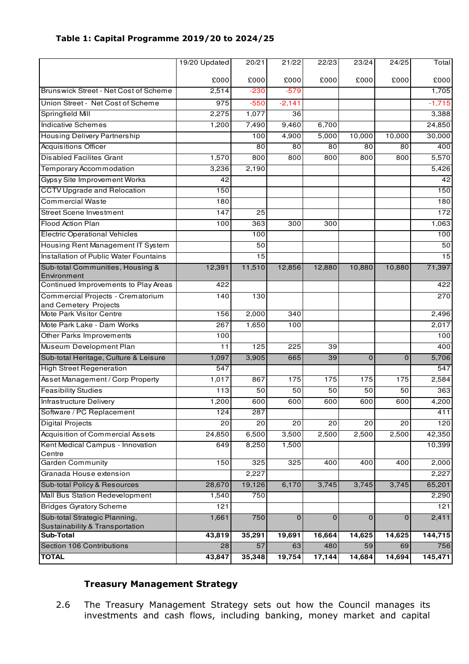|                                                            | 19/20 Updated | 20/21           | 21/22           | 22/23  | 23/24          | 24/25           | Total           |
|------------------------------------------------------------|---------------|-----------------|-----------------|--------|----------------|-----------------|-----------------|
|                                                            | £000          | £000            | £000            | £000   | £000           | £000            | £000            |
| Brunswick Street - Net Cost of Scheme                      | 2,514         | $-230$          | $-579$          |        |                |                 | 1,705           |
| Union Street - Net Cost of Scheme                          | 975           | $-550$          | $-2,141$        |        |                |                 | $-1,715$        |
| Springfield Mill                                           | 2,275         | 1,077           | 36              |        |                |                 | 3,388           |
| Indicative Schemes                                         | 1,200         | 7,490           | 9,460           | 6,700  |                |                 | 24,850          |
| Housing Delivery Partnership                               |               | 100             | 4,900           | 5,000  | 10,000         | 10,000          | 30,000          |
| <b>Acquisitions Officer</b>                                |               | 80              | $\overline{80}$ | 80     | 80             | 80              | 400             |
| <b>Disabled Facilites Grant</b>                            | 1,570         | 800             | 800             | 800    | 800            | 800             | 5,570           |
| Temporary Accommodation                                    | 3,236         | 2,190           |                 |        |                |                 | 5,426           |
| <b>Gypsy Site Improvement Works</b>                        | 42            |                 |                 |        |                |                 | 42              |
| <b>CCTV Upgrade and Relocation</b>                         | 150           |                 |                 |        |                |                 | 150             |
| <b>Commercial Waste</b>                                    | 180           |                 |                 |        |                |                 | 180             |
| <b>Street Scene Investment</b>                             | 147           | 25              |                 |        |                |                 | 172             |
| Flood Action Plan                                          | 100           | 363             | 300             | 300    |                |                 | 1,063           |
| <b>Electric Operational Vehicles</b>                       |               | 100             |                 |        |                |                 | 100             |
| Housing Rent Management IT System                          |               | 50              |                 |        |                |                 | 50              |
| Installation of Public Water Fountains                     |               | 15              |                 |        |                |                 | $\overline{15}$ |
| Sub-total Communities, Housing &<br>Environment            | 12,391        | 11,510          | 12,856          | 12,880 | 10,880         | 10,880          | 71,397          |
| Continued Improvements to Play Areas                       | 422           |                 |                 |        |                |                 | 422             |
| Commercial Projects - Crematorium<br>and Cemetery Projects | 140           | 130             |                 |        |                |                 | 270             |
| Mote Park Visitor Centre                                   | 156           | 2,000           | 340             |        |                |                 | 2,496           |
| Mote Park Lake - Dam Works                                 | 267           | 1,650           | 100             |        |                |                 | 2,017           |
| Other Parks Improvements                                   | 100           |                 |                 |        |                |                 | 100             |
| Museum Development Plan                                    | 11            | 125             | 225             | 39     |                |                 | 400             |
| Sub-total Heritage, Culture & Leisure                      | 1,097         | 3,905           | 665             | 39     | $\overline{0}$ | $\overline{0}$  | 5,706           |
| <b>High Street Regeneration</b>                            | 547           |                 |                 |        |                |                 | 547             |
| Asset Management / Corp Property                           | 1,017         | 867             | 175             | 175    | 175            | 175             | 2,584           |
| <b>Feasibility Studies</b>                                 | 113           | 50              | 50              | 50     | 50             | 50              | 363             |
| <b>Infrastructure Delivery</b>                             | 1,200         | 600             | 600             | 600    | 600            | 600             | 4,200           |
| Software / PC Replacement                                  | 124           | 287             |                 |        |                |                 | 411             |
| <b>Digital Projects</b>                                    | 20            | $\overline{20}$ | $\overline{20}$ | 20     | 20             | $\overline{20}$ | 120             |
| Acquisition of Commercial Assets                           | 24,850        | 6,500           | 3,500           | 2,500  | 2,500          | 2,500           | 42,350          |
| Kent Medical Campus - Innovation<br>Centre                 | 649           | 8,250           | 1,500           |        |                |                 | 10,399          |
| <b>Garden Community</b>                                    | 150           | 325             | 325             | 400    | 400            | 400             | 2,000           |
| Granada House extension                                    |               | 2,227           |                 |        |                |                 | 2,227           |
| Sub-total Policy & Resources                               | 28,670        | 19,126          | 6,170           | 3,745  | 3,745          | 3,745           | 65,201          |
| Mall Bus Station Redevelopment                             | 1,540         | 750             |                 |        |                |                 | 2,290           |
| <b>Bridges Gyratory Scheme</b>                             | 121           |                 |                 |        |                |                 | 121             |
| Sub-total Strategic Planning,                              | 1,661         | 750             | 0               | 0      | $\mathbf 0$    | $\mathbf 0$     | 2,411           |
| Sustainability & Transportation                            |               |                 |                 |        |                |                 |                 |
| <b>Sub-Total</b>                                           | 43,819        | 35,291          | 19,691          | 16,664 | 14,625         | 14,625          | 144,715         |
| Section 106 Contributions                                  | 28            | 57              | 63              | 480    | 59             | 69              | 756             |
| <b>TOTAL</b>                                               | 43,847        | 35,348          | 19,754          | 17,144 | 14,684         | 14,694          | 145,471         |

#### Table 1: Capital Programme 2019/20 to 2024/25

## Treasury Management Strategy

2.6 The Treasury Management Strategy sets out how the Council manages its investments and cash flows, including banking, money market and capital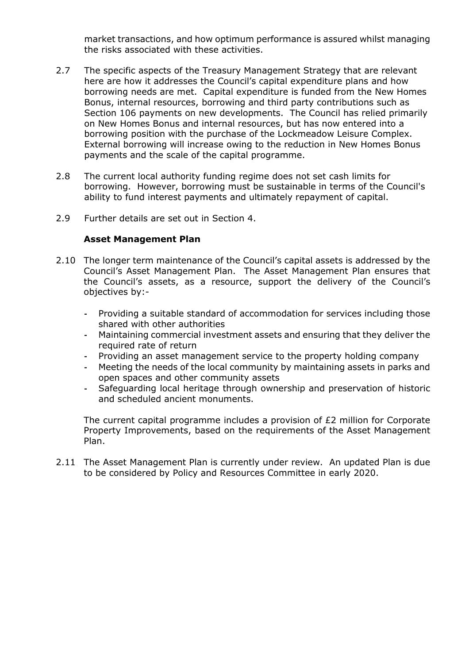market transactions, and how optimum performance is assured whilst managing the risks associated with these activities.

- 2.7 The specific aspects of the Treasury Management Strategy that are relevant here are how it addresses the Council's capital expenditure plans and how borrowing needs are met. Capital expenditure is funded from the New Homes Bonus, internal resources, borrowing and third party contributions such as Section 106 payments on new developments. The Council has relied primarily on New Homes Bonus and internal resources, but has now entered into a borrowing position with the purchase of the Lockmeadow Leisure Complex. External borrowing will increase owing to the reduction in New Homes Bonus payments and the scale of the capital programme.
- 2.8 The current local authority funding regime does not set cash limits for borrowing. However, borrowing must be sustainable in terms of the Council's ability to fund interest payments and ultimately repayment of capital.
- 2.9 Further details are set out in Section 4.

#### Asset Management Plan

- 2.10 The longer term maintenance of the Council's capital assets is addressed by the Council's Asset Management Plan. The Asset Management Plan ensures that the Council's assets, as a resource, support the delivery of the Council's objectives by:-
	- Providing a suitable standard of accommodation for services including those shared with other authorities
	- Maintaining commercial investment assets and ensuring that they deliver the required rate of return
	- Providing an asset management service to the property holding company
	- Meeting the needs of the local community by maintaining assets in parks and open spaces and other community assets
	- Safeguarding local heritage through ownership and preservation of historic and scheduled ancient monuments.

The current capital programme includes a provision of £2 million for Corporate Property Improvements, based on the requirements of the Asset Management Plan.

2.11 The Asset Management Plan is currently under review. An updated Plan is due to be considered by Policy and Resources Committee in early 2020.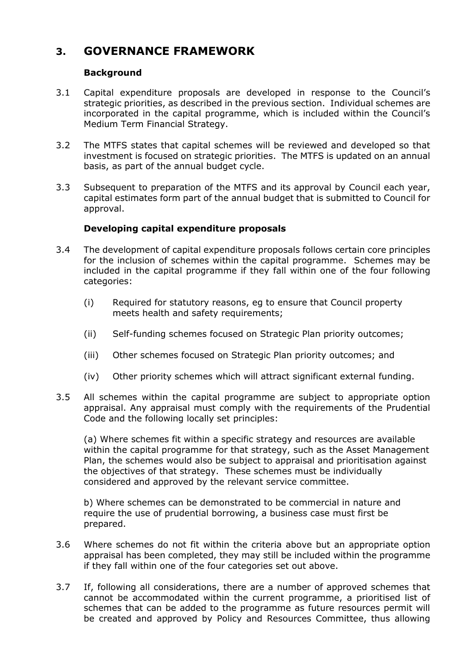# 3. GOVERNANCE FRAMEWORK

### Background

- 3.1 Capital expenditure proposals are developed in response to the Council's strategic priorities, as described in the previous section. Individual schemes are incorporated in the capital programme, which is included within the Council's Medium Term Financial Strategy.
- 3.2 The MTFS states that capital schemes will be reviewed and developed so that investment is focused on strategic priorities. The MTFS is updated on an annual basis, as part of the annual budget cycle.
- 3.3 Subsequent to preparation of the MTFS and its approval by Council each year, capital estimates form part of the annual budget that is submitted to Council for approval.

## Developing capital expenditure proposals

- 3.4 The development of capital expenditure proposals follows certain core principles for the inclusion of schemes within the capital programme. Schemes may be included in the capital programme if they fall within one of the four following categories:
	- (i) Required for statutory reasons, eg to ensure that Council property meets health and safety requirements;
	- (ii) Self-funding schemes focused on Strategic Plan priority outcomes;
	- (iii) Other schemes focused on Strategic Plan priority outcomes; and
	- (iv) Other priority schemes which will attract significant external funding.
- 3.5 All schemes within the capital programme are subject to appropriate option appraisal. Any appraisal must comply with the requirements of the Prudential Code and the following locally set principles:

(a) Where schemes fit within a specific strategy and resources are available within the capital programme for that strategy, such as the Asset Management Plan, the schemes would also be subject to appraisal and prioritisation against the objectives of that strategy. These schemes must be individually considered and approved by the relevant service committee.

b) Where schemes can be demonstrated to be commercial in nature and require the use of prudential borrowing, a business case must first be prepared.

- 3.6 Where schemes do not fit within the criteria above but an appropriate option appraisal has been completed, they may still be included within the programme if they fall within one of the four categories set out above.
- 3.7 If, following all considerations, there are a number of approved schemes that cannot be accommodated within the current programme, a prioritised list of schemes that can be added to the programme as future resources permit will be created and approved by Policy and Resources Committee, thus allowing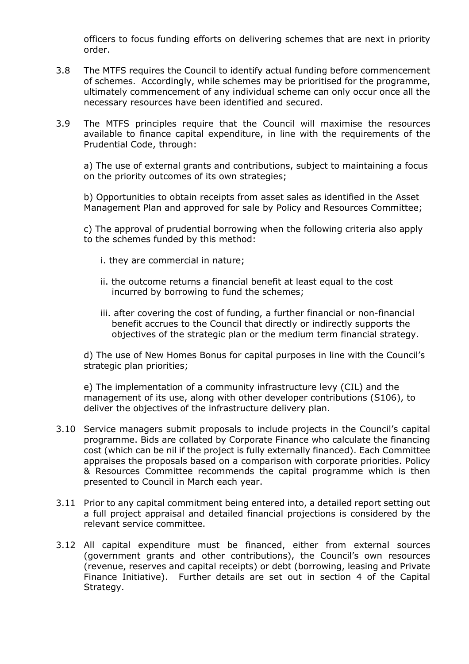officers to focus funding efforts on delivering schemes that are next in priority order.

- 3.8 The MTFS requires the Council to identify actual funding before commencement of schemes. Accordingly, while schemes may be prioritised for the programme, ultimately commencement of any individual scheme can only occur once all the necessary resources have been identified and secured.
- 3.9 The MTFS principles require that the Council will maximise the resources available to finance capital expenditure, in line with the requirements of the Prudential Code, through:

a) The use of external grants and contributions, subject to maintaining a focus on the priority outcomes of its own strategies;

b) Opportunities to obtain receipts from asset sales as identified in the Asset Management Plan and approved for sale by Policy and Resources Committee;

c) The approval of prudential borrowing when the following criteria also apply to the schemes funded by this method:

- i. they are commercial in nature;
- ii. the outcome returns a financial benefit at least equal to the cost incurred by borrowing to fund the schemes;
- iii. after covering the cost of funding, a further financial or non-financial benefit accrues to the Council that directly or indirectly supports the objectives of the strategic plan or the medium term financial strategy.

d) The use of New Homes Bonus for capital purposes in line with the Council's strategic plan priorities;

e) The implementation of a community infrastructure levy (CIL) and the management of its use, along with other developer contributions (S106), to deliver the objectives of the infrastructure delivery plan.

- 3.10 Service managers submit proposals to include projects in the Council's capital programme. Bids are collated by Corporate Finance who calculate the financing cost (which can be nil if the project is fully externally financed). Each Committee appraises the proposals based on a comparison with corporate priorities. Policy & Resources Committee recommends the capital programme which is then presented to Council in March each year.
- 3.11 Prior to any capital commitment being entered into, a detailed report setting out a full project appraisal and detailed financial projections is considered by the relevant service committee.
- 3.12 All capital expenditure must be financed, either from external sources (government grants and other contributions), the Council's own resources (revenue, reserves and capital receipts) or debt (borrowing, leasing and Private Finance Initiative). Further details are set out in section 4 of the Capital Strategy.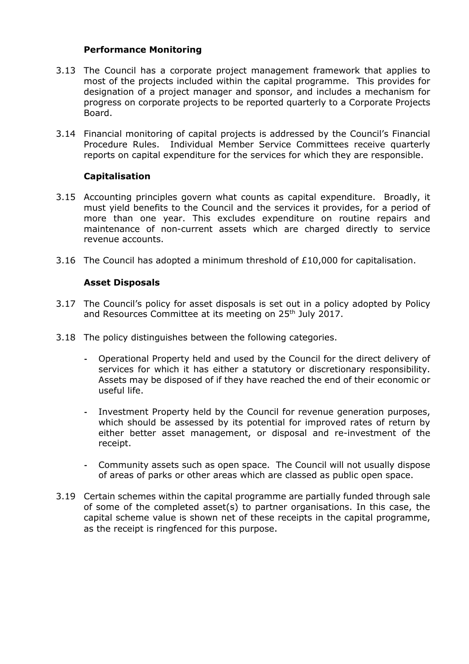#### Performance Monitoring

- 3.13 The Council has a corporate project management framework that applies to most of the projects included within the capital programme. This provides for designation of a project manager and sponsor, and includes a mechanism for progress on corporate projects to be reported quarterly to a Corporate Projects Board.
- 3.14 Financial monitoring of capital projects is addressed by the Council's Financial Procedure Rules. Individual Member Service Committees receive quarterly reports on capital expenditure for the services for which they are responsible.

# Capitalisation

- 3.15 Accounting principles govern what counts as capital expenditure. Broadly, it must yield benefits to the Council and the services it provides, for a period of more than one year. This excludes expenditure on routine repairs and maintenance of non-current assets which are charged directly to service revenue accounts.
- 3.16 The Council has adopted a minimum threshold of £10,000 for capitalisation.

#### Asset Disposals

- 3.17 The Council's policy for asset disposals is set out in a policy adopted by Policy and Resources Committee at its meeting on 25<sup>th</sup> July 2017.
- 3.18 The policy distinguishes between the following categories.
	- Operational Property held and used by the Council for the direct delivery of services for which it has either a statutory or discretionary responsibility. Assets may be disposed of if they have reached the end of their economic or useful life.
	- Investment Property held by the Council for revenue generation purposes, which should be assessed by its potential for improved rates of return by either better asset management, or disposal and re-investment of the receipt.
	- Community assets such as open space. The Council will not usually dispose of areas of parks or other areas which are classed as public open space.
- 3.19 Certain schemes within the capital programme are partially funded through sale of some of the completed asset(s) to partner organisations. In this case, the capital scheme value is shown net of these receipts in the capital programme, as the receipt is ringfenced for this purpose.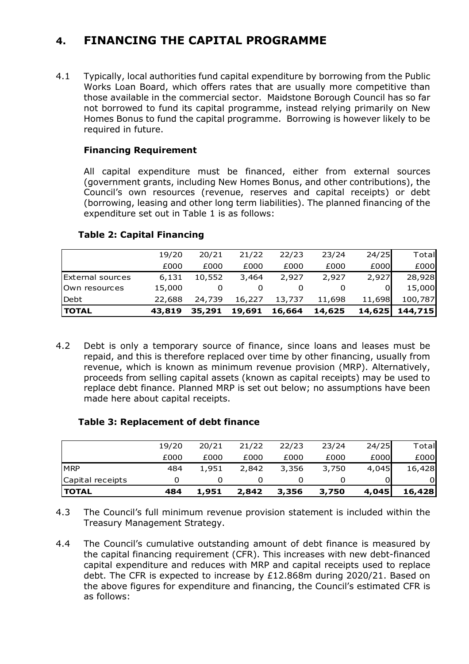# 4. FINANCING THE CAPITAL PROGRAMME

4.1 Typically, local authorities fund capital expenditure by borrowing from the Public Works Loan Board, which offers rates that are usually more competitive than those available in the commercial sector. Maidstone Borough Council has so far not borrowed to fund its capital programme, instead relying primarily on New Homes Bonus to fund the capital programme. Borrowing is however likely to be required in future.

## Financing Requirement

All capital expenditure must be financed, either from external sources (government grants, including New Homes Bonus, and other contributions), the Council's own resources (revenue, reserves and capital receipts) or debt (borrowing, leasing and other long term liabilities). The planned financing of the expenditure set out in Table 1 is as follows:

| <b>TOTAL</b>            | 43,819 | 35,291 | 19,691 | 16,664 | 14,625 | 14,625 | 144,715 |
|-------------------------|--------|--------|--------|--------|--------|--------|---------|
| Debt                    | 22,688 | 24,739 | 16,227 | 13,737 | 11,698 | 11,698 | 100,787 |
| Own resources           | 15,000 |        |        |        |        |        | 15,000  |
| <b>External sources</b> | 6,131  | 10,552 | 3,464  | 2,927  | 2,927  | 2,927  | 28,928  |
|                         | £000   | £000   | £000   | £000   | £000   | £000   | £000    |
|                         | 19/20  | 20/21  | 21/22  | 22/23  | 23/24  | 24/25  | Total   |

## Table 2: Capital Financing

4.2 Debt is only a temporary source of finance, since loans and leases must be repaid, and this is therefore replaced over time by other financing, usually from revenue, which is known as minimum revenue provision (MRP). Alternatively, proceeds from selling capital assets (known as capital receipts) may be used to replace debt finance. Planned MRP is set out below; no assumptions have been made here about capital receipts.

# Table 3: Replacement of debt finance

| <b>MRP</b><br>3,750<br>3,356<br>484<br>1,951<br>2,842<br>Capital receipts | 4,045 | 16,428<br>01 |
|---------------------------------------------------------------------------|-------|--------------|
|                                                                           |       |              |
|                                                                           |       |              |
| £000<br>£000<br>£000<br>£000<br>£000                                      | £000  | £000         |
| 23/24<br>19/20<br>21/22<br>22/23<br>20/21                                 | 24/25 | Total        |

4.3 The Council's full minimum revenue provision statement is included within the Treasury Management Strategy.

4.4 The Council's cumulative outstanding amount of debt finance is measured by the capital financing requirement (CFR). This increases with new debt-financed capital expenditure and reduces with MRP and capital receipts used to replace debt. The CFR is expected to increase by £12.868m during 2020/21. Based on the above figures for expenditure and financing, the Council's estimated CFR is as follows: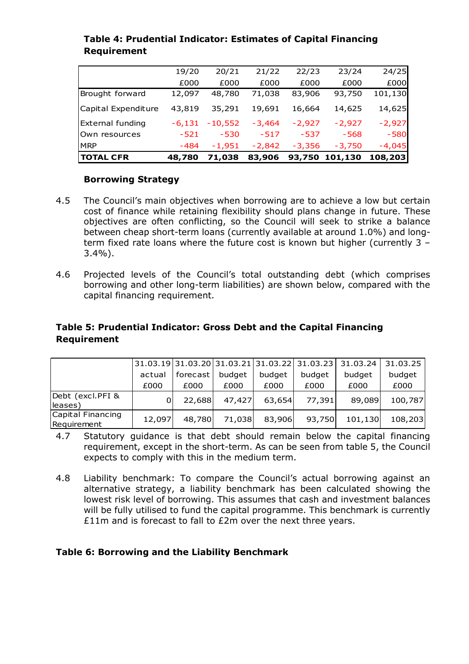| £000<br>£000<br>£000<br>£000<br>£000<br>48,780<br>83,906<br>93,750<br>Brought forward<br>12,097<br>71,038<br>19,691<br>43,819<br>14,625<br>35,291<br>16,664<br>$-2,927$<br>$-2,927$<br>$-6,131$<br>$-10,552$<br>$-3,464$<br>$-530$<br>$-517$<br>$-537$<br>$-568$<br>$-521$<br><b>IMRP</b><br>$-484$<br>$-1,951$<br>$-2,842$<br>$-3,356$<br>$-3,750$ | <b>ITOTAL CFR</b> | 48,780 | 71,038 | 83,906 | 93,750 | 101,130 | 108,203  |
|-----------------------------------------------------------------------------------------------------------------------------------------------------------------------------------------------------------------------------------------------------------------------------------------------------------------------------------------------------|-------------------|--------|--------|--------|--------|---------|----------|
| Capital Expenditure<br><b>External funding</b><br>Own resources                                                                                                                                                                                                                                                                                     |                   |        |        |        |        |         | $-4,045$ |
|                                                                                                                                                                                                                                                                                                                                                     |                   |        |        |        |        |         | $-580$   |
|                                                                                                                                                                                                                                                                                                                                                     |                   |        |        |        |        |         | $-2,927$ |
|                                                                                                                                                                                                                                                                                                                                                     |                   |        |        |        |        |         | 14,625   |
|                                                                                                                                                                                                                                                                                                                                                     |                   |        |        |        |        |         | 101,130  |
|                                                                                                                                                                                                                                                                                                                                                     |                   |        |        |        |        |         | £000     |
|                                                                                                                                                                                                                                                                                                                                                     |                   | 19/20  | 20/21  | 21/22  | 22/23  | 23/24   | 24/25    |

# Table 4: Prudential Indicator: Estimates of Capital Financing Requirement

#### Borrowing Strategy

- 4.5 The Council's main objectives when borrowing are to achieve a low but certain cost of finance while retaining flexibility should plans change in future. These objectives are often conflicting, so the Council will seek to strike a balance between cheap short-term loans (currently available at around 1.0%) and longterm fixed rate loans where the future cost is known but higher (currently 3 – 3.4%).
- 4.6 Projected levels of the Council's total outstanding debt (which comprises borrowing and other long-term liabilities) are shown below, compared with the capital financing requirement.

#### Table 5: Prudential Indicator: Gross Debt and the Capital Financing Requirement

|                                  |        |          |        |        | 31.03.19 31.03.20 31.03.21 31.03.22 31.03.23 | 31.03.24 | 31.03.25 |
|----------------------------------|--------|----------|--------|--------|----------------------------------------------|----------|----------|
|                                  | actual | forecast | budget | budget | budget                                       | budget   | budget   |
|                                  | £000   | £000     | £000   | £000   | £000                                         | £000     | £000     |
| Debt (excl.PFI &<br>leases)      |        | 22,688   | 47,427 | 63,654 | 77,391                                       | 89,089   | 100,787  |
| Capital Financing<br>Requirement | 12,097 | 48,780   | 71,038 | 83,906 | 93,750                                       | 101,130  | 108,203  |

- 4.7 Statutory guidance is that debt should remain below the capital financing requirement, except in the short-term. As can be seen from table 5, the Council expects to comply with this in the medium term.
- 4.8 Liability benchmark: To compare the Council's actual borrowing against an alternative strategy, a liability benchmark has been calculated showing the lowest risk level of borrowing. This assumes that cash and investment balances will be fully utilised to fund the capital programme. This benchmark is currently £11m and is forecast to fall to £2m over the next three years.

#### Table 6: Borrowing and the Liability Benchmark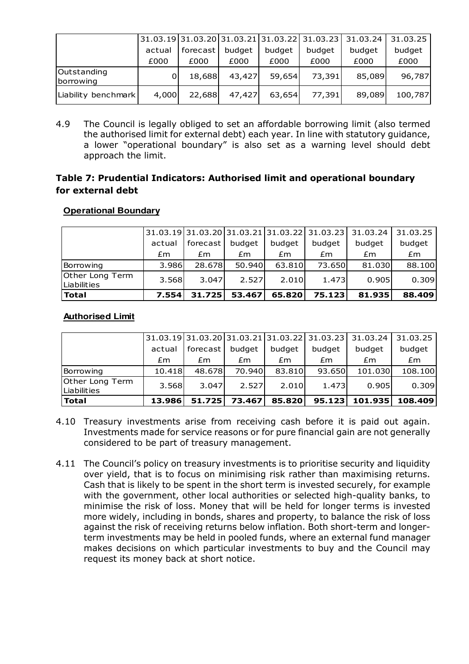|                          |        |          |        |        | 31.03.19 31.03.20 31.03.21 31.03.22 31.03.23 | 31.03.24 | 31.03.25 |
|--------------------------|--------|----------|--------|--------|----------------------------------------------|----------|----------|
|                          | actual | forecast | budget | budget | budget                                       | budget   | budget   |
|                          | £000   | £000     | £000   | £000   | £000                                         | £000     | £000     |
| Outstanding<br>borrowing |        | 18,688   | 43,427 | 59,654 | 73,391                                       | 85,089   | 96,787   |
| Liability benchmark      | 4,000  | 22,688   | 47,427 | 63,654 | 77,391                                       | 89,089   | 100,787  |

4.9 The Council is legally obliged to set an affordable borrowing limit (also termed the authorised limit for external debt) each year. In line with statutory guidance, a lower "operational boundary" is also set as a warning level should debt approach the limit.

## Table 7: Prudential Indicators: Authorised limit and operational boundary for external debt

## **Operational Boundary**

|                                       |        |          |        |        | $31.03.19 31.03.20 31.03.21 31.03.22 31.03.23 $ | 31.03.24 | 31.03.25 |
|---------------------------------------|--------|----------|--------|--------|-------------------------------------------------|----------|----------|
|                                       | actual | forecast | budget | budget | budget                                          | budget   | budget   |
|                                       | £m     | £m       | £m     | £m     | £m                                              | £m       | Em       |
| Borrowing                             | 3.986  | 28.678   | 50.940 | 63.810 | 73.650l                                         | 81.030   | 88.100   |
| Other Long Term<br><b>Liabilities</b> | 3.568  | 3.047    | 2.527  | 2.010  | 1.473                                           | 0.905    | 0.309    |
| l Total                               | 7.554  | 31.725   | 53.467 | 65.820 | 75.123                                          | 81.935   | 88.409   |

## **Authorised Limit**

|                                |        |          |        |        |        | 31.03.19 31.03.20 31.03.21 31.03.22 31.03.23 31.03.24 | 31.03.25 |
|--------------------------------|--------|----------|--------|--------|--------|-------------------------------------------------------|----------|
|                                | actual | forecast | budget | budget | budget | budget                                                | budget   |
|                                | £m     | £m       | £m     | £m     | £m     | £m                                                    | Em       |
| Borrowing                      | 10.418 | 48.678   | 70.940 | 83.810 | 93.650 | 101.030                                               | 108.100  |
| Other Long Term<br>Liabilities | 3.568  | 3.047    | 2.527  | 2.010  | 1.473  | 0.905                                                 | 0.309    |
| <b>Total</b>                   | 13.986 | 51.725   | 73.467 | 85.820 | 95.123 | 101.935                                               | 108.409  |

- 4.10 Treasury investments arise from receiving cash before it is paid out again. Investments made for service reasons or for pure financial gain are not generally considered to be part of treasury management.
- 4.11 The Council's policy on treasury investments is to prioritise security and liquidity over yield, that is to focus on minimising risk rather than maximising returns. Cash that is likely to be spent in the short term is invested securely, for example with the government, other local authorities or selected high-quality banks, to minimise the risk of loss. Money that will be held for longer terms is invested more widely, including in bonds, shares and property, to balance the risk of loss against the risk of receiving returns below inflation. Both short-term and longerterm investments may be held in pooled funds, where an external fund manager makes decisions on which particular investments to buy and the Council may request its money back at short notice.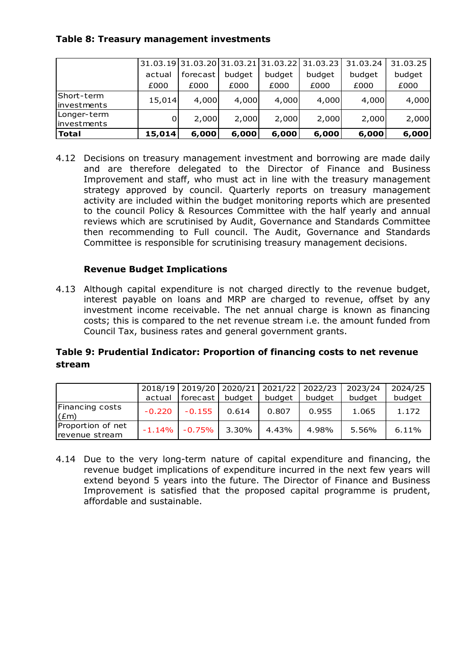## Table 8: Treasury management investments

|                             |        | 31.03.19 31.03.20 31.03.21 |        | 31.03.22 | 31.03.23 | 31.03.24 | 31.03.25 |
|-----------------------------|--------|----------------------------|--------|----------|----------|----------|----------|
|                             | actual | forecast                   | budget | budget   | budget   | budget   | budget   |
|                             | £000   | £000                       | £000   | £000     | £000     | £000     | £000     |
| Short-term<br>linvestments  | 15,014 | 4,000                      | 4,000  | 4,000    | 4,000    | 4,000    | 4,000    |
| Longer-term<br>linvestments |        | 2,000                      | 2,000  | 2,000    | 2,000    | 2,000    | 2,000    |
| Total                       | 15,014 | 6,000                      | 6,000  | 6,000    | 6,000    | 6,000    | 6,000    |

4.12 Decisions on treasury management investment and borrowing are made daily and are therefore delegated to the Director of Finance and Business Improvement and staff, who must act in line with the treasury management strategy approved by council. Quarterly reports on treasury management activity are included within the budget monitoring reports which are presented to the council Policy & Resources Committee with the half yearly and annual reviews which are scrutinised by Audit, Governance and Standards Committee then recommending to Full council. The Audit, Governance and Standards Committee is responsible for scrutinising treasury management decisions.

# Revenue Budget Implications

4.13 Although capital expenditure is not charged directly to the revenue budget, interest payable on loans and MRP are charged to revenue, offset by any investment income receivable. The net annual charge is known as financing costs; this is compared to the net revenue stream i.e. the amount funded from Council Tax, business rates and general government grants.

# Table 9: Prudential Indicator: Proportion of financing costs to net revenue stream

|                                     |          |           |        | 2018/19 2019/20 2020/21 2021/22 2022/23 |        | 2023/24 | 2024/25 |
|-------------------------------------|----------|-----------|--------|-----------------------------------------|--------|---------|---------|
|                                     | actual   | forecast  | budget | budget                                  | budget | budget  | budget  |
| Financing costs<br>E(m)             | $-0.220$ | $-0.155$  | 0.614  | 0.807                                   | 0.955  | 1.065   | 1.172   |
| Proportion of net<br>revenue stream | $-1.14%$ | $-0.75\%$ | 3.30%  | 4.43%                                   | 4.98%  | 5.56%   | 6.11%   |

4.14 Due to the very long-term nature of capital expenditure and financing, the revenue budget implications of expenditure incurred in the next few years will extend beyond 5 years into the future. The Director of Finance and Business Improvement is satisfied that the proposed capital programme is prudent, affordable and sustainable.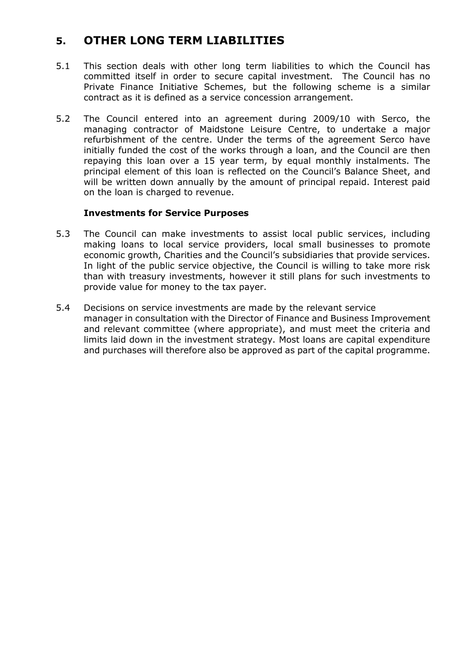# 5. OTHER LONG TERM LIABILITIES

- 5.1 This section deals with other long term liabilities to which the Council has committed itself in order to secure capital investment. The Council has no Private Finance Initiative Schemes, but the following scheme is a similar contract as it is defined as a service concession arrangement.
- 5.2 The Council entered into an agreement during 2009/10 with Serco, the managing contractor of Maidstone Leisure Centre, to undertake a major refurbishment of the centre. Under the terms of the agreement Serco have initially funded the cost of the works through a loan, and the Council are then repaying this loan over a 15 year term, by equal monthly instalments. The principal element of this loan is reflected on the Council's Balance Sheet, and will be written down annually by the amount of principal repaid. Interest paid on the loan is charged to revenue.

#### Investments for Service Purposes

- 5.3 The Council can make investments to assist local public services, including making loans to local service providers, local small businesses to promote economic growth, Charities and the Council's subsidiaries that provide services. In light of the public service objective, the Council is willing to take more risk than with treasury investments, however it still plans for such investments to provide value for money to the tax payer.
- 5.4 Decisions on service investments are made by the relevant service manager in consultation with the Director of Finance and Business Improvement and relevant committee (where appropriate), and must meet the criteria and limits laid down in the investment strategy. Most loans are capital expenditure and purchases will therefore also be approved as part of the capital programme.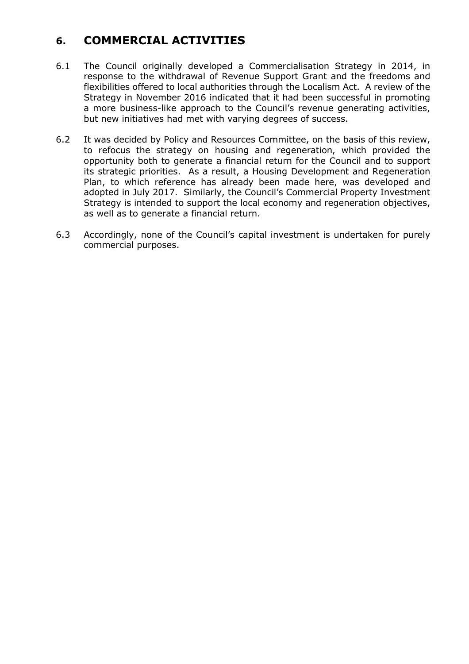# 6. COMMERCIAL ACTIVITIES

- 6.1 The Council originally developed a Commercialisation Strategy in 2014, in response to the withdrawal of Revenue Support Grant and the freedoms and flexibilities offered to local authorities through the Localism Act. A review of the Strategy in November 2016 indicated that it had been successful in promoting a more business-like approach to the Council's revenue generating activities, but new initiatives had met with varying degrees of success.
- 6.2 It was decided by Policy and Resources Committee, on the basis of this review, to refocus the strategy on housing and regeneration, which provided the opportunity both to generate a financial return for the Council and to support its strategic priorities. As a result, a Housing Development and Regeneration Plan, to which reference has already been made here, was developed and adopted in July 2017. Similarly, the Council's Commercial Property Investment Strategy is intended to support the local economy and regeneration objectives, as well as to generate a financial return.
- 6.3 Accordingly, none of the Council's capital investment is undertaken for purely commercial purposes.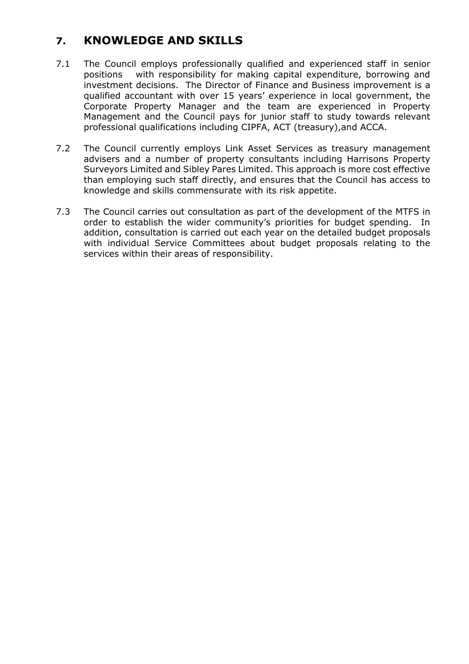# 7. KNOWLEDGE AND SKILLS

- 7.1 The Council employs professionally qualified and experienced staff in senior positions with responsibility for making capital expenditure, borrowing and investment decisions. The Director of Finance and Business improvement is a qualified accountant with over 15 years' experience in local government, the Corporate Property Manager and the team are experienced in Property Management and the Council pays for junior staff to study towards relevant professional qualifications including CIPFA, ACT (treasury),and ACCA.
- 7.2 The Council currently employs Link Asset Services as treasury management advisers and a number of property consultants including Harrisons Property Surveyors Limited and Sibley Pares Limited. This approach is more cost effective than employing such staff directly, and ensures that the Council has access to knowledge and skills commensurate with its risk appetite.
- 7.3 The Council carries out consultation as part of the development of the MTFS in order to establish the wider community's priorities for budget spending. In addition, consultation is carried out each year on the detailed budget proposals with individual Service Committees about budget proposals relating to the services within their areas of responsibility.